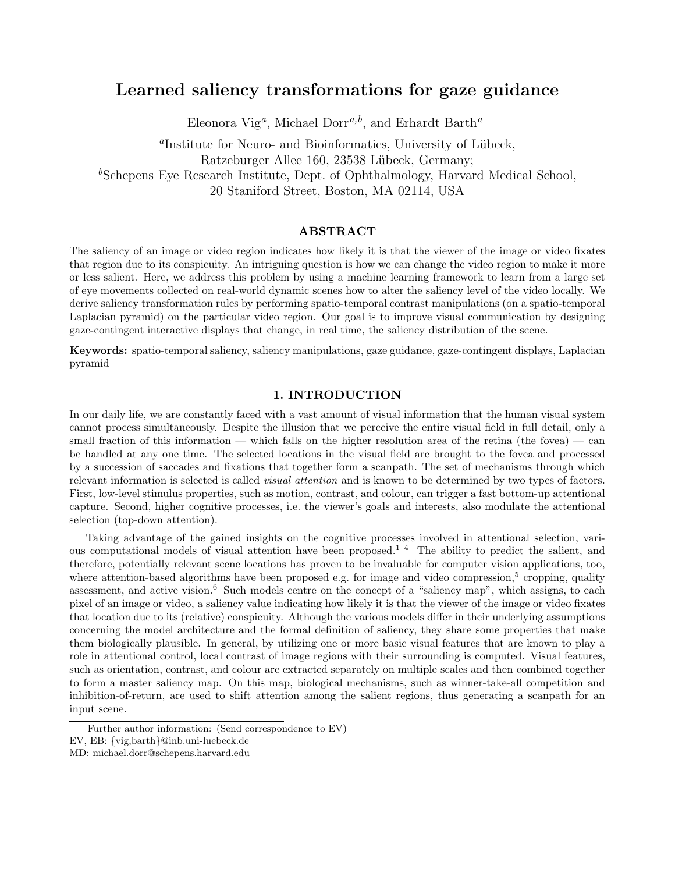# Learned saliency transformations for gaze guidance

Eleonora Vig<sup>a</sup>, Michael Dorr<sup>a,b</sup>, and Erhardt Barth<sup>a</sup>

<sup>a</sup>Institute for Neuro- and Bioinformatics, University of Lübeck, Ratzeburger Allee 160, 23538 Lübeck, Germany;  ${}^{b}$ Schepens Eye Research Institute, Dept. of Ophthalmology, Harvard Medical School, 20 Staniford Street, Boston, MA 02114, USA

## ABSTRACT

The saliency of an image or video region indicates how likely it is that the viewer of the image or video fixates that region due to its conspicuity. An intriguing question is how we can change the video region to make it more or less salient. Here, we address this problem by using a machine learning framework to learn from a large set of eye movements collected on real-world dynamic scenes how to alter the saliency level of the video locally. We derive saliency transformation rules by performing spatio-temporal contrast manipulations (on a spatio-temporal Laplacian pyramid) on the particular video region. Our goal is to improve visual communication by designing gaze-contingent interactive displays that change, in real time, the saliency distribution of the scene.

Keywords: spatio-temporal saliency, saliency manipulations, gaze guidance, gaze-contingent displays, Laplacian pyramid

## 1. INTRODUCTION

In our daily life, we are constantly faced with a vast amount of visual information that the human visual system cannot process simultaneously. Despite the illusion that we perceive the entire visual field in full detail, only a small fraction of this information — which falls on the higher resolution area of the retina (the fovea) — can be handled at any one time. The selected locations in the visual field are brought to the fovea and processed by a succession of saccades and fixations that together form a scanpath. The set of mechanisms through which relevant information is selected is called *visual attention* and is known to be determined by two types of factors. First, low-level stimulus properties, such as motion, contrast, and colour, can trigger a fast bottom-up attentional capture. Second, higher cognitive processes, i.e. the viewer's goals and interests, also modulate the attentional selection (top-down attention).

Taking advantage of the gained insights on the cognitive processes involved in attentional selection, various computational models of visual attention have been proposed. 1–4 The ability to predict the salient, and therefore, potentially relevant scene locations has proven to be invaluable for computer vision applications, too, where attention-based algorithms have been proposed e.g. for image and video compression,<sup>5</sup> cropping, quality assessment, and active vision.<sup>6</sup> Such models centre on the concept of a "saliency map", which assigns, to each pixel of an image or video, a saliency value indicating how likely it is that the viewer of the image or video fixates that location due to its (relative) conspicuity. Although the various models differ in their underlying assumptions concerning the model architecture and the formal definition of saliency, they share some properties that make them biologically plausible. In general, by utilizing one or more basic visual features that are known to play a role in attentional control, local contrast of image regions with their surrounding is computed. Visual features, such as orientation, contrast, and colour are extracted separately on multiple scales and then combined together to form a master saliency map. On this map, biological mechanisms, such as winner-take-all competition and inhibition-of-return, are used to shift attention among the salient regions, thus generating a scanpath for an input scene.

Further author information: (Send correspondence to EV)

EV, EB: {vig,barth}@inb.uni-luebeck.de

MD: michael.dorr@schepens.harvard.edu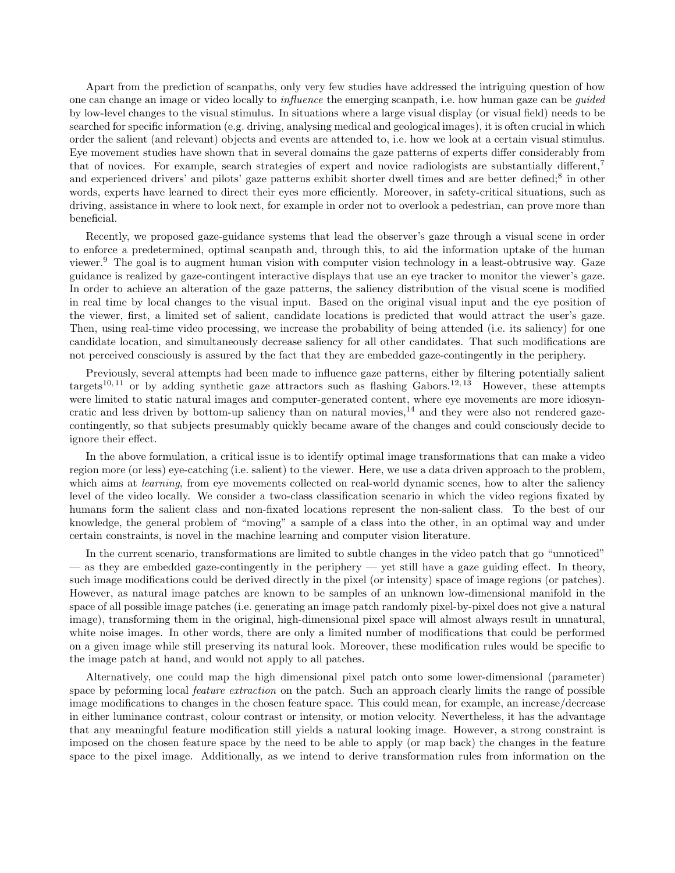Apart from the prediction of scanpaths, only very few studies have addressed the intriguing question of how one can change an image or video locally to *influence* the emerging scanpath, i.e. how human gaze can be *guided* by low-level changes to the visual stimulus. In situations where a large visual display (or visual field) needs to be searched for specific information (e.g. driving, analysing medical and geological images), it is often crucial in which order the salient (and relevant) objects and events are attended to, i.e. how we look at a certain visual stimulus. Eye movement studies have shown that in several domains the gaze patterns of experts differ considerably from that of novices. For example, search strategies of expert and novice radiologists are substantially different,<sup>7</sup> and experienced drivers' and pilots' gaze patterns exhibit shorter dwell times and are better defined;<sup>8</sup> in other words, experts have learned to direct their eyes more efficiently. Moreover, in safety-critical situations, such as driving, assistance in where to look next, for example in order not to overlook a pedestrian, can prove more than beneficial.

Recently, we proposed gaze-guidance systems that lead the observer's gaze through a visual scene in order to enforce a predetermined, optimal scanpath and, through this, to aid the information uptake of the human viewer.<sup>9</sup> The goal is to augment human vision with computer vision technology in a least-obtrusive way. Gaze guidance is realized by gaze-contingent interactive displays that use an eye tracker to monitor the viewer's gaze. In order to achieve an alteration of the gaze patterns, the saliency distribution of the visual scene is modified in real time by local changes to the visual input. Based on the original visual input and the eye position of the viewer, first, a limited set of salient, candidate locations is predicted that would attract the user's gaze. Then, using real-time video processing, we increase the probability of being attended (i.e. its saliency) for one candidate location, and simultaneously decrease saliency for all other candidates. That such modifications are not perceived consciously is assured by the fact that they are embedded gaze-contingently in the periphery.

Previously, several attempts had been made to influence gaze patterns, either by filtering potentially salient targets<sup>10, 11</sup> or by adding synthetic gaze attractors such as flashing Gabors.<sup>12, 13</sup> However, these attempts were limited to static natural images and computer-generated content, where eye movements are more idiosyncratic and less driven by bottom-up saliency than on natural movies,<sup>14</sup> and they were also not rendered gazecontingently, so that subjects presumably quickly became aware of the changes and could consciously decide to ignore their effect.

In the above formulation, a critical issue is to identify optimal image transformations that can make a video region more (or less) eye-catching (i.e. salient) to the viewer. Here, we use a data driven approach to the problem, which aims at *learning*, from eye movements collected on real-world dynamic scenes, how to alter the saliency level of the video locally. We consider a two-class classification scenario in which the video regions fixated by humans form the salient class and non-fixated locations represent the non-salient class. To the best of our knowledge, the general problem of "moving" a sample of a class into the other, in an optimal way and under certain constraints, is novel in the machine learning and computer vision literature.

In the current scenario, transformations are limited to subtle changes in the video patch that go "unnoticed" — as they are embedded gaze-contingently in the periphery — yet still have a gaze guiding effect. In theory, such image modifications could be derived directly in the pixel (or intensity) space of image regions (or patches). However, as natural image patches are known to be samples of an unknown low-dimensional manifold in the space of all possible image patches (i.e. generating an image patch randomly pixel-by-pixel does not give a natural image), transforming them in the original, high-dimensional pixel space will almost always result in unnatural, white noise images. In other words, there are only a limited number of modifications that could be performed on a given image while still preserving its natural look. Moreover, these modification rules would be specific to the image patch at hand, and would not apply to all patches.

Alternatively, one could map the high dimensional pixel patch onto some lower-dimensional (parameter) space by peforming local *feature extraction* on the patch. Such an approach clearly limits the range of possible image modifications to changes in the chosen feature space. This could mean, for example, an increase/decrease in either luminance contrast, colour contrast or intensity, or motion velocity. Nevertheless, it has the advantage that any meaningful feature modification still yields a natural looking image. However, a strong constraint is imposed on the chosen feature space by the need to be able to apply (or map back) the changes in the feature space to the pixel image. Additionally, as we intend to derive transformation rules from information on the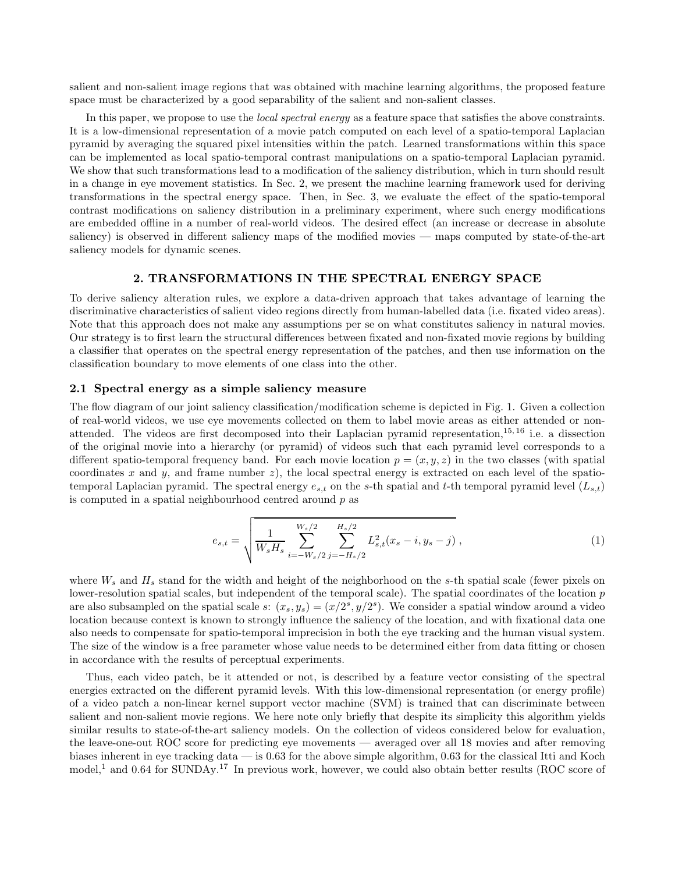salient and non-salient image regions that was obtained with machine learning algorithms, the proposed feature space must be characterized by a good separability of the salient and non-salient classes.

In this paper, we propose to use the *local spectral energy* as a feature space that satisfies the above constraints. It is a low-dimensional representation of a movie patch computed on each level of a spatio-temporal Laplacian pyramid by averaging the squared pixel intensities within the patch. Learned transformations within this space can be implemented as local spatio-temporal contrast manipulations on a spatio-temporal Laplacian pyramid. We show that such transformations lead to a modification of the saliency distribution, which in turn should result in a change in eye movement statistics. In Sec. 2, we present the machine learning framework used for deriving transformations in the spectral energy space. Then, in Sec. 3, we evaluate the effect of the spatio-temporal contrast modifications on saliency distribution in a preliminary experiment, where such energy modifications are embedded offline in a number of real-world videos. The desired effect (an increase or decrease in absolute saliency) is observed in different saliency maps of the modified movies — maps computed by state-of-the-art saliency models for dynamic scenes.

## 2. TRANSFORMATIONS IN THE SPECTRAL ENERGY SPACE

To derive saliency alteration rules, we explore a data-driven approach that takes advantage of learning the discriminative characteristics of salient video regions directly from human-labelled data (i.e. fixated video areas). Note that this approach does not make any assumptions per se on what constitutes saliency in natural movies. Our strategy is to first learn the structural differences between fixated and non-fixated movie regions by building a classifier that operates on the spectral energy representation of the patches, and then use information on the classification boundary to move elements of one class into the other.

#### 2.1 Spectral energy as a simple saliency measure

The flow diagram of our joint saliency classification/modification scheme is depicted in Fig. 1. Given a collection of real-world videos, we use eye movements collected on them to label movie areas as either attended or nonattended. The videos are first decomposed into their Laplacian pyramid representation,15, 16 i.e. a dissection of the original movie into a hierarchy (or pyramid) of videos such that each pyramid level corresponds to a different spatio-temporal frequency band. For each movie location  $p = (x, y, z)$  in the two classes (with spatial coordinates x and y, and frame number  $z$ ), the local spectral energy is extracted on each level of the spatiotemporal Laplacian pyramid. The spectral energy  $e_{s,t}$  on the s-th spatial and t-th temporal pyramid level  $(L_{s,t})$ is computed in a spatial neighbourhood centred around p as

$$
e_{s,t} = \sqrt{\frac{1}{W_s H_s} \sum_{i=-W_s/2}^{W_s/2} \sum_{j=-H_s/2}^{H_s/2} L_{s,t}^2(x_s - i, y_s - j)},
$$
\n(1)

where  $W_s$  and  $H_s$  stand for the width and height of the neighborhood on the s-th spatial scale (fewer pixels on lower-resolution spatial scales, but independent of the temporal scale). The spatial coordinates of the location  $p$ are also subsampled on the spatial scale s:  $(x_s, y_s) = (x/2^s, y/2^s)$ . We consider a spatial window around a video location because context is known to strongly influence the saliency of the location, and with fixational data one also needs to compensate for spatio-temporal imprecision in both the eye tracking and the human visual system. The size of the window is a free parameter whose value needs to be determined either from data fitting or chosen in accordance with the results of perceptual experiments.

Thus, each video patch, be it attended or not, is described by a feature vector consisting of the spectral energies extracted on the different pyramid levels. With this low-dimensional representation (or energy profile) of a video patch a non-linear kernel support vector machine (SVM) is trained that can discriminate between salient and non-salient movie regions. We here note only briefly that despite its simplicity this algorithm yields similar results to state-of-the-art saliency models. On the collection of videos considered below for evaluation, the leave-one-out ROC score for predicting eye movements — averaged over all 18 movies and after removing biases inherent in eye tracking data — is 0.63 for the above simple algorithm, 0.63 for the classical Itti and Koch model,<sup>1</sup> and 0.64 for SUNDAy.<sup>17</sup> In previous work, however, we could also obtain better results (ROC score of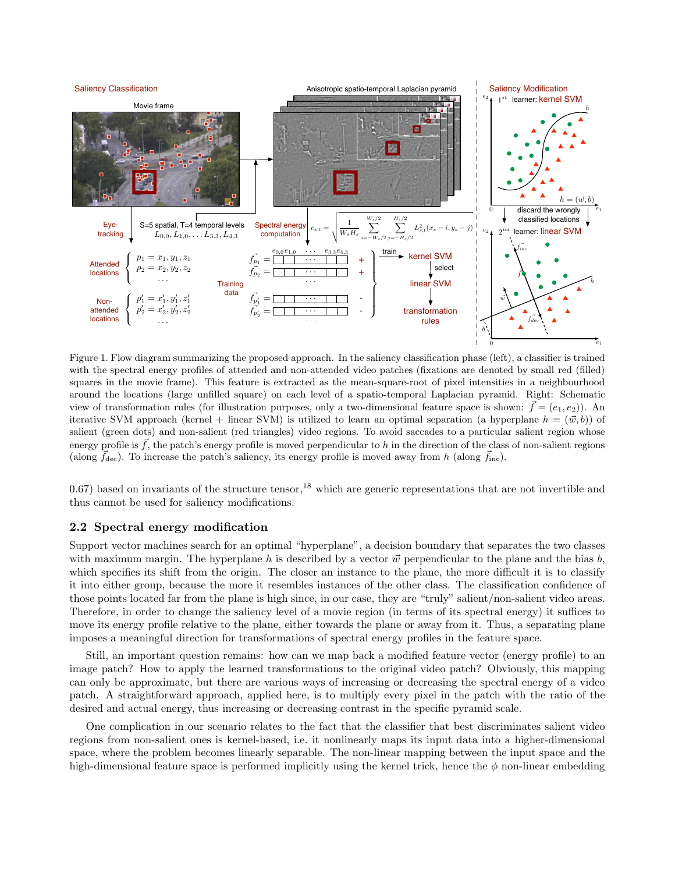

Figure 1. Flow diagram summarizing the proposed approach. In the saliency classification phase (left), a classifier is trained with the spectral energy profiles of attended and non-attended video patches (fixations are denoted by small red (filled) squares in the movie frame). This feature is extracted as the mean-square-root of pixel intensities in a neighbourhood around the locations (large unfilled square) on each level of a spatio-temporal Laplacian pyramid. Right: Schematic view of transformation rules (for illustration purposes, only a two-dimensional feature space is shown:  $\vec{f} = (e_1, e_2)$ ). An iterative SVM approach (kernel + linear SVM) is utilized to learn an optimal separation (a hyperplane  $h = (\vec{w}, b)$ ) of salient (green dots) and non-salient (red triangles) video regions. To avoid saccades to a particular salient region whose energy profile is  $f$ , the patch's energy profile is moved perpendicular to h in the direction of the class of non-salient regions (along  $\bar{f}_{\text{dec}}$ ). To increase the patch's saliency, its energy profile is moved away from h (along  $\bar{f}_{\text{inc}}$ ).

 $(0.67)$  based on invariants of the structure tensor,<sup>18</sup> which are generic representations that are not invertible and thus cannot be used for saliency modifications.

## 2.2 Spectral energy modification

Support vector machines search for an optimal "hyperplane", a decision boundary that separates the two classes with maximum margin. The hyperplane h is described by a vector  $\vec{w}$  perpendicular to the plane and the bias b, which specifies its shift from the origin. The closer an instance to the plane, the more difficult it is to classify it into either group, because the more it resembles instances of the other class. The classification confidence of those points located far from the plane is high since, in our case, they are "truly" salient/non-salient video areas. Therefore, in order to change the saliency level of a movie region (in terms of its spectral energy) it suffices to move its energy profile relative to the plane, either towards the plane or away from it. Thus, a separating plane imposes a meaningful direction for transformations of spectral energy profiles in the feature space.

Still, an important question remains: how can we map back a modified feature vector (energy profile) to an image patch? How to apply the learned transformations to the original video patch? Obviously, this mapping can only be approximate, but there are various ways of increasing or decreasing the spectral energy of a video patch. A straightforward approach, applied here, is to multiply every pixel in the patch with the ratio of the desired and actual energy, thus increasing or decreasing contrast in the specific pyramid scale.

One complication in our scenario relates to the fact that the classifier that best discriminates salient video regions from non-salient ones is kernel-based, i.e. it nonlinearly maps its input data into a higher-dimensional space, where the problem becomes linearly separable. The non-linear mapping between the input space and the high-dimensional feature space is performed implicitly using the kernel trick, hence the  $\phi$  non-linear embedding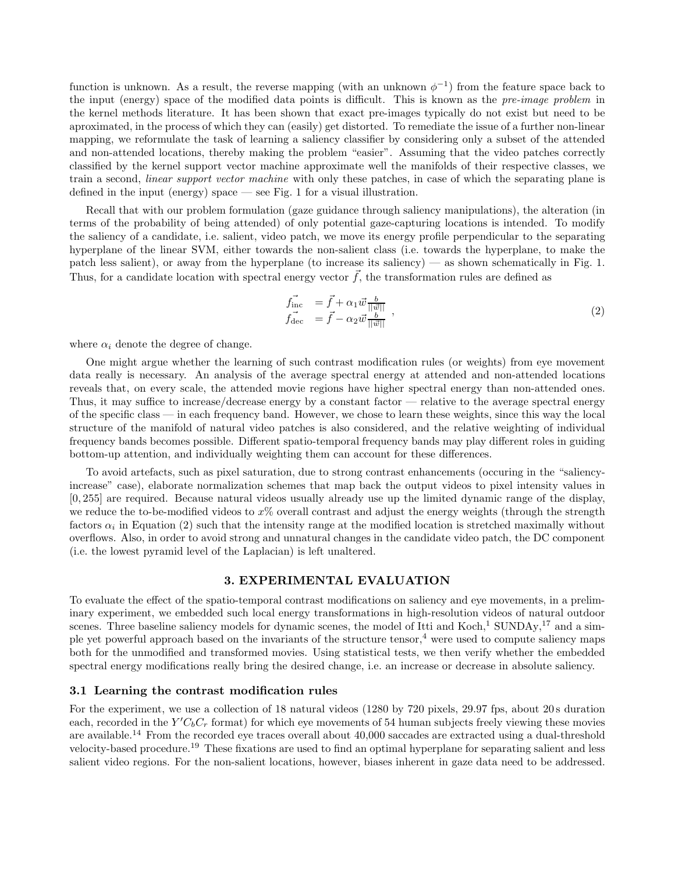function is unknown. As a result, the reverse mapping (with an unknown  $\phi^{-1}$ ) from the feature space back to the input (energy) space of the modified data points is difficult. This is known as the *pre-image problem* in the kernel methods literature. It has been shown that exact pre-images typically do not exist but need to be aproximated, in the process of which they can (easily) get distorted. To remediate the issue of a further non-linear mapping, we reformulate the task of learning a saliency classifier by considering only a subset of the attended and non-attended locations, thereby making the problem "easier". Assuming that the video patches correctly classified by the kernel support vector machine approximate well the manifolds of their respective classes, we train a second, *linear support vector machine* with only these patches, in case of which the separating plane is defined in the input (energy) space — see Fig. 1 for a visual illustration.

Recall that with our problem formulation (gaze guidance through saliency manipulations), the alteration (in terms of the probability of being attended) of only potential gaze-capturing locations is intended. To modify the saliency of a candidate, i.e. salient, video patch, we move its energy profile perpendicular to the separating hyperplane of the linear SVM, either towards the non-salient class (i.e. towards the hyperplane, to make the patch less salient), or away from the hyperplane (to increase its saliency) — as shown schematically in Fig. 1. Thus, for a candidate location with spectral energy vector  $\vec{f}$ , the transformation rules are defined as

$$
\begin{array}{ll}\n\vec{f}_{\text{inc}} &= \vec{f} + \alpha_1 \vec{w} \frac{b}{\|\vec{w}\|} \\
\vec{f}_{\text{dec}} &= \vec{f} - \alpha_2 \vec{w} \frac{b}{\|\vec{w}\|}\n\end{array},\n\tag{2}
$$

where  $\alpha_i$  denote the degree of change.

One might argue whether the learning of such contrast modification rules (or weights) from eye movement data really is necessary. An analysis of the average spectral energy at attended and non-attended locations reveals that, on every scale, the attended movie regions have higher spectral energy than non-attended ones. Thus, it may suffice to increase/decrease energy by a constant factor — relative to the average spectral energy of the specific class — in each frequency band. However, we chose to learn these weights, since this way the local structure of the manifold of natural video patches is also considered, and the relative weighting of individual frequency bands becomes possible. Different spatio-temporal frequency bands may play different roles in guiding bottom-up attention, and individually weighting them can account for these differences.

To avoid artefacts, such as pixel saturation, due to strong contrast enhancements (occuring in the "saliencyincrease" case), elaborate normalization schemes that map back the output videos to pixel intensity values in [0, 255] are required. Because natural videos usually already use up the limited dynamic range of the display, we reduce the to-be-modified videos to x% overall contrast and adjust the energy weights (through the strength factors  $\alpha_i$  in Equation (2) such that the intensity range at the modified location is stretched maximally without overflows. Also, in order to avoid strong and unnatural changes in the candidate video patch, the DC component (i.e. the lowest pyramid level of the Laplacian) is left unaltered.

#### 3. EXPERIMENTAL EVALUATION

To evaluate the effect of the spatio-temporal contrast modifications on saliency and eye movements, in a preliminary experiment, we embedded such local energy transformations in high-resolution videos of natural outdoor scenes. Three baseline saliency models for dynamic scenes, the model of Itti and Koch,<sup>1</sup> SUNDAy,<sup>17</sup> and a simple yet powerful approach based on the invariants of the structure tensor,<sup>4</sup> were used to compute saliency maps both for the unmodified and transformed movies. Using statistical tests, we then verify whether the embedded spectral energy modifications really bring the desired change, i.e. an increase or decrease in absolute saliency.

### 3.1 Learning the contrast modification rules

For the experiment, we use a collection of 18 natural videos (1280 by 720 pixels, 29.97 fps, about 20s duration each, recorded in the  $Y'C_bC_r$  format) for which eye movements of 54 human subjects freely viewing these movies are available.<sup>14</sup> From the recorded eye traces overall about 40,000 saccades are extracted using a dual-threshold velocity-based procedure.<sup>19</sup> These fixations are used to find an optimal hyperplane for separating salient and less salient video regions. For the non-salient locations, however, biases inherent in gaze data need to be addressed.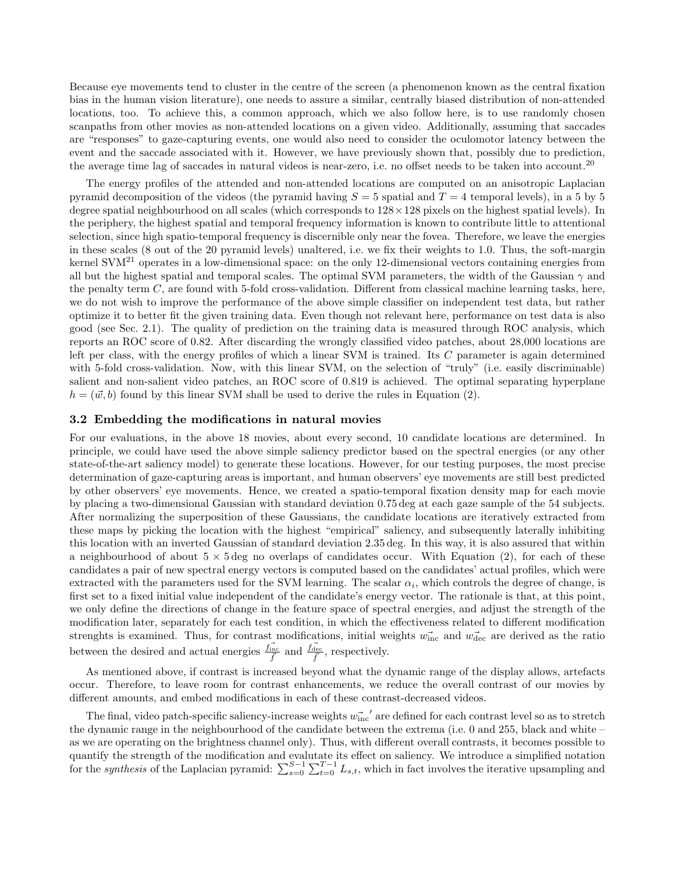Because eye movements tend to cluster in the centre of the screen (a phenomenon known as the central fixation bias in the human vision literature), one needs to assure a similar, centrally biased distribution of non-attended locations, too. To achieve this, a common approach, which we also follow here, is to use randomly chosen scanpaths from other movies as non-attended locations on a given video. Additionally, assuming that saccades are "responses" to gaze-capturing events, one would also need to consider the oculomotor latency between the event and the saccade associated with it. However, we have previously shown that, possibly due to prediction, the average time lag of saccades in natural videos is near-zero, i.e. no offset needs to be taken into account.<sup>20</sup>

The energy profiles of the attended and non-attended locations are computed on an anisotropic Laplacian pyramid decomposition of the videos (the pyramid having  $S = 5$  spatial and  $T = 4$  temporal levels), in a 5 by 5 degree spatial neighbourhood on all scales (which corresponds to  $128 \times 128$  pixels on the highest spatial levels). In the periphery, the highest spatial and temporal frequency information is known to contribute little to attentional selection, since high spatio-temporal frequency is discernible only near the fovea. Therefore, we leave the energies in these scales (8 out of the 20 pyramid levels) unaltered, i.e. we fix their weights to 1.0. Thus, the soft-margin kernel  $\text{SVM}^{21}$  operates in a low-dimensional space: on the only 12-dimensional vectors containing energies from all but the highest spatial and temporal scales. The optimal SVM parameters, the width of the Gaussian  $\gamma$  and the penalty term  $C$ , are found with 5-fold cross-validation. Different from classical machine learning tasks, here, we do not wish to improve the performance of the above simple classifier on independent test data, but rather optimize it to better fit the given training data. Even though not relevant here, performance on test data is also good (see Sec. 2.1). The quality of prediction on the training data is measured through ROC analysis, which reports an ROC score of 0.82. After discarding the wrongly classified video patches, about 28,000 locations are left per class, with the energy profiles of which a linear SVM is trained. Its C parameter is again determined with 5-fold cross-validation. Now, with this linear SVM, on the selection of "truly" (i.e. easily discriminable) salient and non-salient video patches, an ROC score of 0.819 is achieved. The optimal separating hyperplane  $h = (\vec{w}, b)$  found by this linear SVM shall be used to derive the rules in Equation (2).

#### 3.2 Embedding the modifications in natural movies

For our evaluations, in the above 18 movies, about every second, 10 candidate locations are determined. In principle, we could have used the above simple saliency predictor based on the spectral energies (or any other state-of-the-art saliency model) to generate these locations. However, for our testing purposes, the most precise determination of gaze-capturing areas is important, and human observers' eye movements are still best predicted by other observers' eye movements. Hence, we created a spatio-temporal fixation density map for each movie by placing a two-dimensional Gaussian with standard deviation 0.75 deg at each gaze sample of the 54 subjects. After normalizing the superposition of these Gaussians, the candidate locations are iteratively extracted from these maps by picking the location with the highest "empirical" saliency, and subsequently laterally inhibiting this location with an inverted Gaussian of standard deviation 2.35 deg. In this way, it is also assured that within a neighbourhood of about  $5 \times 5$  deg no overlaps of candidates occur. With Equation (2), for each of these candidates a pair of new spectral energy vectors is computed based on the candidates' actual profiles, which were extracted with the parameters used for the SVM learning. The scalar  $\alpha_i$ , which controls the degree of change, is first set to a fixed initial value independent of the candidate's energy vector. The rationale is that, at this point, we only define the directions of change in the feature space of spectral energies, and adjust the strength of the modification later, separately for each test condition, in which the effectiveness related to different modification strenghts is examined. Thus, for contrast modifications, initial weights  $\vec{w_{\text{inc}}}$  and  $\vec{w_{\text{dec}}}$  are derived as the ratio between the desired and actual energies  $\frac{f_{\text{inc}}^{\rightarrow}}{\vec{f}}$  and  $\frac{f_{\text{dec}}^{\rightarrow}}{\vec{f}}$ , respectively.

As mentioned above, if contrast is increased beyond what the dynamic range of the display allows, artefacts occur. Therefore, to leave room for contrast enhancements, we reduce the overall contrast of our movies by different amounts, and embed modifications in each of these contrast-decreased videos.

The final, video patch-specific saliency-increase weights  $w_{\text{inc}}^{\pi'}$  are defined for each contrast level so as to stretch the dynamic range in the neighbourhood of the candidate between the extrema (i.e. 0 and 255, black and white – as we are operating on the brightness channel only). Thus, with different overall contrasts, it becomes possible to quantify the strength of the modification and evalutate its effect on saliency. We introduce a simplified notation for the *synthesis* of the Laplacian pyramid:  $\sum_{s=0}^{S-1} \sum_{t=0}^{T-1} L_{s,t}$ , which in fact involves the iterative upsampling and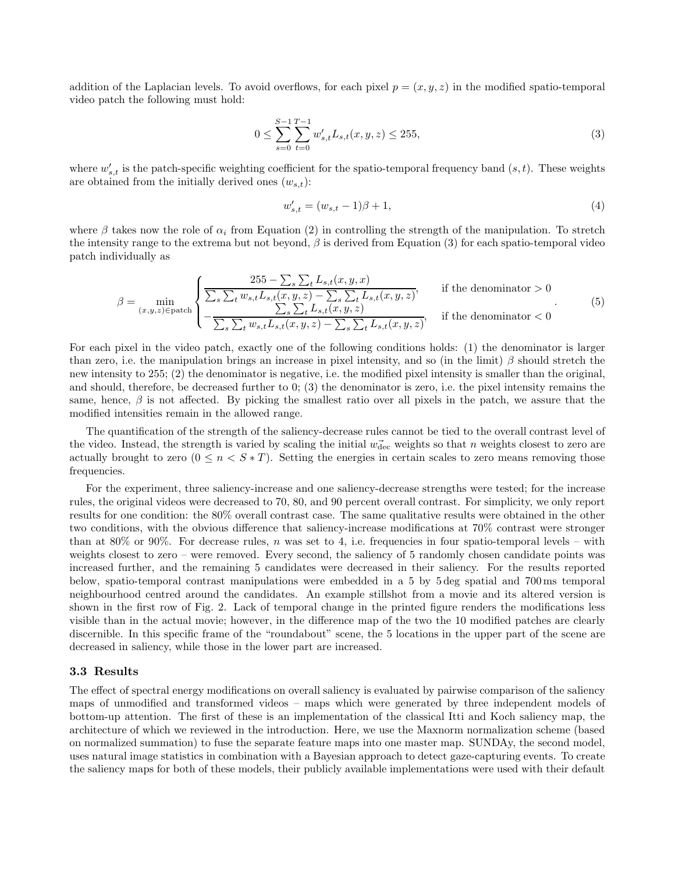addition of the Laplacian levels. To avoid overflows, for each pixel  $p = (x, y, z)$  in the modified spatio-temporal video patch the following must hold:

$$
0 \le \sum_{s=0}^{S-1} \sum_{t=0}^{T-1} w'_{s,t} L_{s,t}(x, y, z) \le 255,
$$
\n
$$
(3)
$$

where  $w'_{s,t}$  is the patch-specific weighting coefficient for the spatio-temporal frequency band  $(s,t)$ . These weights are obtained from the initially derived ones  $(w_{s,t})$ :

$$
w'_{s,t} = (w_{s,t} - 1)\beta + 1,\t\t(4)
$$

where  $\beta$  takes now the role of  $\alpha_i$  from Equation (2) in controlling the strength of the manipulation. To stretch the intensity range to the extrema but not beyond,  $\beta$  is derived from Equation (3) for each spatio-temporal video patch individually as

$$
\beta = \min_{(x,y,z)\in\text{patch}} \begin{cases} \frac{255 - \sum_{s} \sum_{t} L_{s,t}(x,y,x)}{\sum_{s} \sum_{t} w_{s,t} L_{s,t}(x,y,z) - \sum_{s} \sum_{t} L_{s,t}(x,y,z)}, & \text{if the denominator > 0} \\ -\frac{\sum_{s} \sum_{t} L_{s,t}(x,y,z)}{\sum_{s} \sum_{t} w_{s,t} L_{s,t}(x,y,z) - \sum_{s} \sum_{t} L_{s,t}(x,y,z)}, & \text{if the denominator < 0} \end{cases} \tag{5}
$$

For each pixel in the video patch, exactly one of the following conditions holds: (1) the denominator is larger than zero, i.e. the manipulation brings an increase in pixel intensity, and so (in the limit)  $\beta$  should stretch the new intensity to 255; (2) the denominator is negative, i.e. the modified pixel intensity is smaller than the original, and should, therefore, be decreased further to 0; (3) the denominator is zero, i.e. the pixel intensity remains the same, hence,  $\beta$  is not affected. By picking the smallest ratio over all pixels in the patch, we assure that the modified intensities remain in the allowed range.

The quantification of the strength of the saliency-decrease rules cannot be tied to the overall contrast level of the video. Instead, the strength is varied by scaling the initial  $w_{\text{dec}}^2$  weights so that n weights closest to zero are actually brought to zero  $(0 \le n < S \cdot T)$ . Setting the energies in certain scales to zero means removing those frequencies.

For the experiment, three saliency-increase and one saliency-decrease strengths were tested; for the increase rules, the original videos were decreased to 70, 80, and 90 percent overall contrast. For simplicity, we only report results for one condition: the 80% overall contrast case. The same qualitative results were obtained in the other two conditions, with the obvious difference that saliency-increase modifications at 70% contrast were stronger than at 80% or 90%. For decrease rules, n was set to 4, i.e. frequencies in four spatio-temporal levels – with weights closest to zero – were removed. Every second, the saliency of 5 randomly chosen candidate points was increased further, and the remaining 5 candidates were decreased in their saliency. For the results reported below, spatio-temporal contrast manipulations were embedded in a 5 by 5 deg spatial and 700 ms temporal neighbourhood centred around the candidates. An example stillshot from a movie and its altered version is shown in the first row of Fig. 2. Lack of temporal change in the printed figure renders the modifications less visible than in the actual movie; however, in the difference map of the two the 10 modified patches are clearly discernible. In this specific frame of the "roundabout" scene, the 5 locations in the upper part of the scene are decreased in saliency, while those in the lower part are increased.

#### 3.3 Results

The effect of spectral energy modifications on overall saliency is evaluated by pairwise comparison of the saliency maps of unmodified and transformed videos – maps which were generated by three independent models of bottom-up attention. The first of these is an implementation of the classical Itti and Koch saliency map, the architecture of which we reviewed in the introduction. Here, we use the Maxnorm normalization scheme (based on normalized summation) to fuse the separate feature maps into one master map. SUNDAy, the second model, uses natural image statistics in combination with a Bayesian approach to detect gaze-capturing events. To create the saliency maps for both of these models, their publicly available implementations were used with their default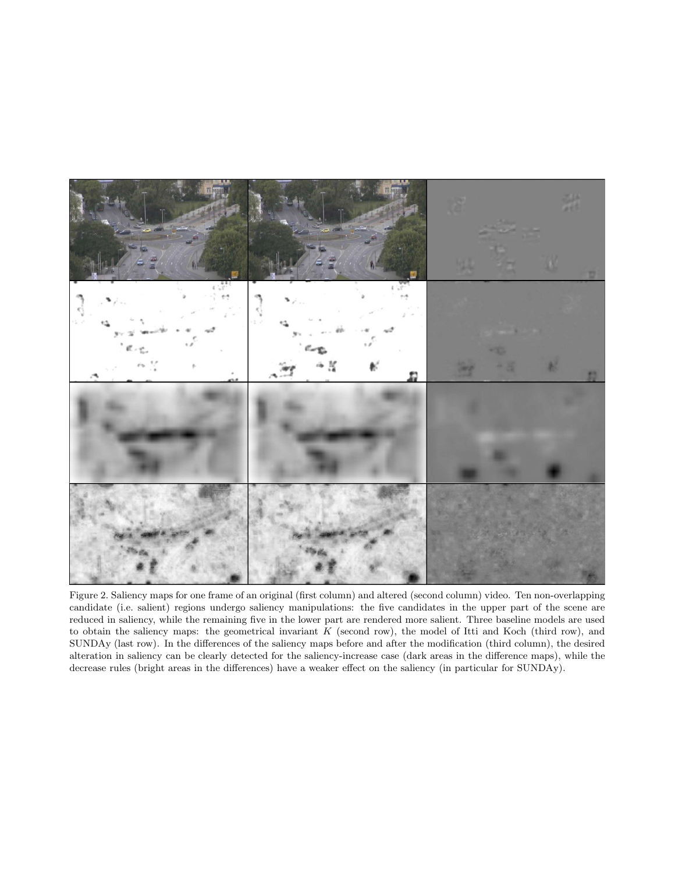

Figure 2. Saliency maps for one frame of an original (first column) and altered (second column) video. Ten non-overlapping candidate (i.e. salient) regions undergo saliency manipulations: the five candidates in the upper part of the scene are reduced in saliency, while the remaining five in the lower part are rendered more salient. Three baseline models are used to obtain the saliency maps: the geometrical invariant  $K$  (second row), the model of Itti and Koch (third row), and SUNDAy (last row). In the differences of the saliency maps before and after the modification (third column), the desired alteration in saliency can be clearly detected for the saliency-increase case (dark areas in the difference maps), while the decrease rules (bright areas in the differences) have a weaker effect on the saliency (in particular for SUNDAy).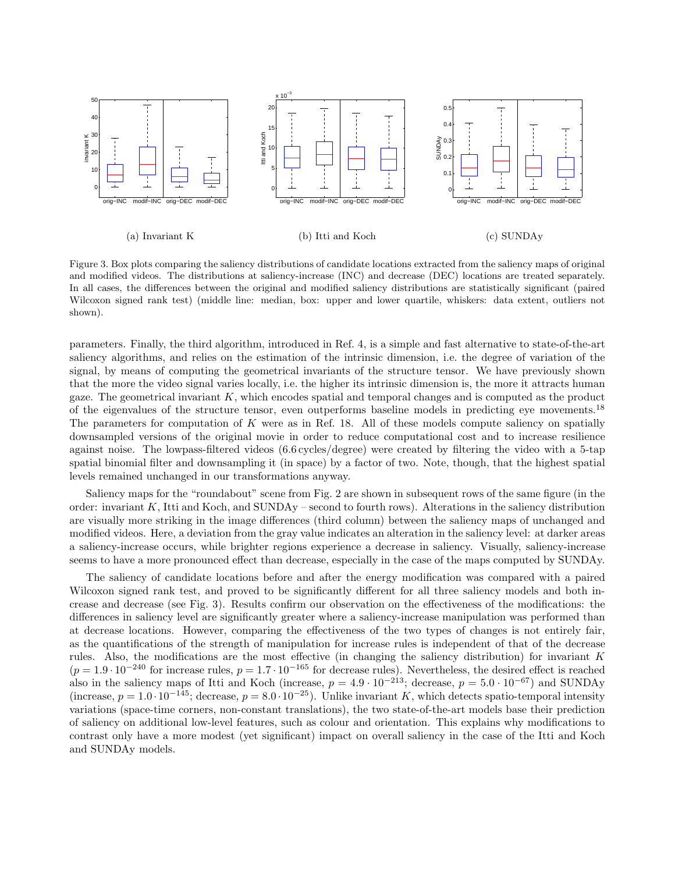

Figure 3. Box plots comparing the saliency distributions of candidate locations extracted from the saliency maps of original and modified videos. The distributions at saliency-increase (INC) and decrease (DEC) locations are treated separately. In all cases, the differences between the original and modified saliency distributions are statistically significant (paired Wilcoxon signed rank test) (middle line: median, box: upper and lower quartile, whiskers: data extent, outliers not shown).

parameters. Finally, the third algorithm, introduced in Ref. 4, is a simple and fast alternative to state-of-the-art saliency algorithms, and relies on the estimation of the intrinsic dimension, i.e. the degree of variation of the signal, by means of computing the geometrical invariants of the structure tensor. We have previously shown that the more the video signal varies locally, i.e. the higher its intrinsic dimension is, the more it attracts human gaze. The geometrical invariant  $K$ , which encodes spatial and temporal changes and is computed as the product of the eigenvalues of the structure tensor, even outperforms baseline models in predicting eye movements.<sup>18</sup> The parameters for computation of  $K$  were as in Ref. 18. All of these models compute saliency on spatially downsampled versions of the original movie in order to reduce computational cost and to increase resilience against noise. The lowpass-filtered videos (6.6 cycles/degree) were created by filtering the video with a 5-tap spatial binomial filter and downsampling it (in space) by a factor of two. Note, though, that the highest spatial levels remained unchanged in our transformations anyway.

Saliency maps for the "roundabout" scene from Fig. 2 are shown in subsequent rows of the same figure (in the order: invariant  $K$ , Itti and Koch, and SUNDAy – second to fourth rows). Alterations in the saliency distribution are visually more striking in the image differences (third column) between the saliency maps of unchanged and modified videos. Here, a deviation from the gray value indicates an alteration in the saliency level: at darker areas a saliency-increase occurs, while brighter regions experience a decrease in saliency. Visually, saliency-increase seems to have a more pronounced effect than decrease, especially in the case of the maps computed by SUNDAy.

The saliency of candidate locations before and after the energy modification was compared with a paired Wilcoxon signed rank test, and proved to be significantly different for all three saliency models and both increase and decrease (see Fig. 3). Results confirm our observation on the effectiveness of the modifications: the differences in saliency level are significantly greater where a saliency-increase manipulation was performed than at decrease locations. However, comparing the effectiveness of the two types of changes is not entirely fair, as the quantifications of the strength of manipulation for increase rules is independent of that of the decrease rules. Also, the modifications are the most effective (in changing the saliency distribution) for invariant  $K$  $(p = 1.9 \cdot 10^{-240}$  for increase rules,  $p = 1.7 \cdot 10^{-165}$  for decrease rules). Nevertheless, the desired effect is reached also in the saliency maps of Itti and Koch (increase,  $p = 4.9 \cdot 10^{-213}$ ; decrease,  $p = 5.0 \cdot 10^{-67}$ ) and SUNDAy (increase,  $p = 1.0 \cdot 10^{-145}$ ; decrease,  $p = 8.0 \cdot 10^{-25}$ ). Unlike invariant K, which detects spatio-temporal intensity variations (space-time corners, non-constant translations), the two state-of-the-art models base their prediction of saliency on additional low-level features, such as colour and orientation. This explains why modifications to contrast only have a more modest (yet significant) impact on overall saliency in the case of the Itti and Koch and SUNDAy models.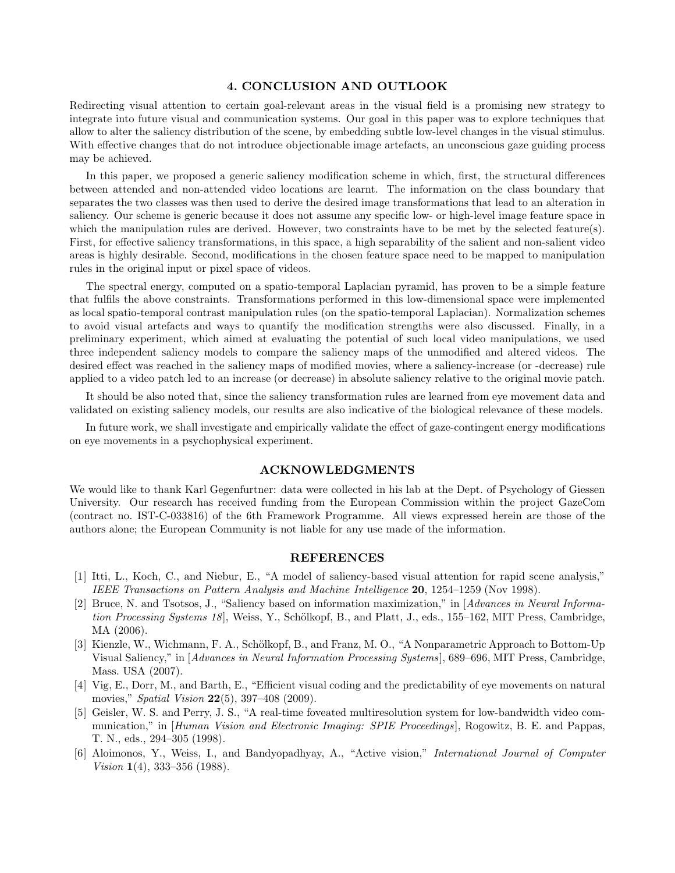## 4. CONCLUSION AND OUTLOOK

Redirecting visual attention to certain goal-relevant areas in the visual field is a promising new strategy to integrate into future visual and communication systems. Our goal in this paper was to explore techniques that allow to alter the saliency distribution of the scene, by embedding subtle low-level changes in the visual stimulus. With effective changes that do not introduce objectionable image artefacts, an unconscious gaze guiding process may be achieved.

In this paper, we proposed a generic saliency modification scheme in which, first, the structural differences between attended and non-attended video locations are learnt. The information on the class boundary that separates the two classes was then used to derive the desired image transformations that lead to an alteration in saliency. Our scheme is generic because it does not assume any specific low- or high-level image feature space in which the manipulation rules are derived. However, two constraints have to be met by the selected feature(s). First, for effective saliency transformations, in this space, a high separability of the salient and non-salient video areas is highly desirable. Second, modifications in the chosen feature space need to be mapped to manipulation rules in the original input or pixel space of videos.

The spectral energy, computed on a spatio-temporal Laplacian pyramid, has proven to be a simple feature that fulfils the above constraints. Transformations performed in this low-dimensional space were implemented as local spatio-temporal contrast manipulation rules (on the spatio-temporal Laplacian). Normalization schemes to avoid visual artefacts and ways to quantify the modification strengths were also discussed. Finally, in a preliminary experiment, which aimed at evaluating the potential of such local video manipulations, we used three independent saliency models to compare the saliency maps of the unmodified and altered videos. The desired effect was reached in the saliency maps of modified movies, where a saliency-increase (or -decrease) rule applied to a video patch led to an increase (or decrease) in absolute saliency relative to the original movie patch.

It should be also noted that, since the saliency transformation rules are learned from eye movement data and validated on existing saliency models, our results are also indicative of the biological relevance of these models.

In future work, we shall investigate and empirically validate the effect of gaze-contingent energy modifications on eye movements in a psychophysical experiment.

## ACKNOWLEDGMENTS

We would like to thank Karl Gegenfurtner: data were collected in his lab at the Dept. of Psychology of Giessen University. Our research has received funding from the European Commission within the project GazeCom (contract no. IST-C-033816) of the 6th Framework Programme. All views expressed herein are those of the authors alone; the European Community is not liable for any use made of the information.

### REFERENCES

- [1] Itti, L., Koch, C., and Niebur, E., "A model of saliency-based visual attention for rapid scene analysis," *IEEE Transactions on Pattern Analysis and Machine Intelligence* 20, 1254–1259 (Nov 1998).
- [2] Bruce, N. and Tsotsos, J., "Saliency based on information maximization," in [*Advances in Neural Information Processing Systems 18*], Weiss, Y., Schölkopf, B., and Platt, J., eds., 155–162, MIT Press, Cambridge, MA (2006).
- [3] Kienzle, W., Wichmann, F. A., Schölkopf, B., and Franz, M. O., "A Nonparametric Approach to Bottom-Up Visual Saliency," in [*Advances in Neural Information Processing Systems*], 689–696, MIT Press, Cambridge, Mass. USA (2007).
- [4] Vig, E., Dorr, M., and Barth, E., "Efficient visual coding and the predictability of eye movements on natural movies," *Spatial Vision* 22(5), 397–408 (2009).
- [5] Geisler, W. S. and Perry, J. S., "A real-time foveated multiresolution system for low-bandwidth video communication," in [*Human Vision and Electronic Imaging: SPIE Proceedings*], Rogowitz, B. E. and Pappas, T. N., eds., 294–305 (1998).
- [6] Aloimonos, Y., Weiss, I., and Bandyopadhyay, A., "Active vision," *International Journal of Computer Vision* 1(4), 333–356 (1988).